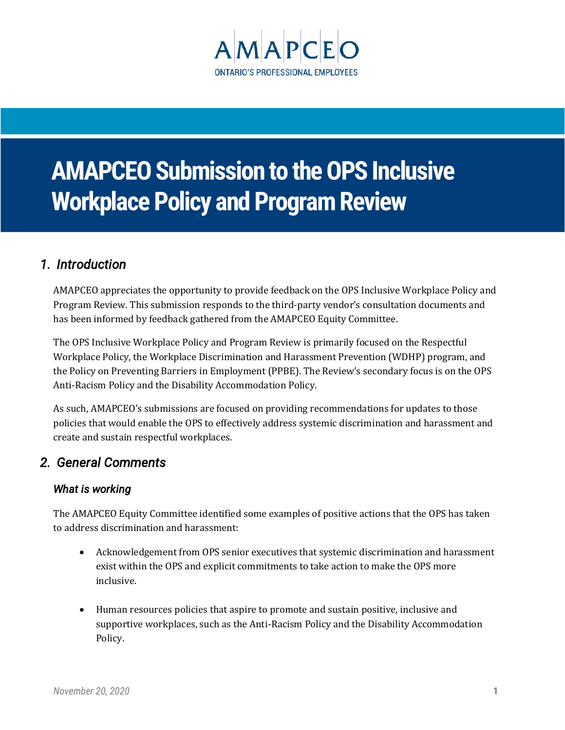

# **AMAPCEO Submission to the OPS Inclusive Workplace Policy and Program Review**

## *1. Introduction*

AMAPCEO appreciates the opportunity to provide feedback on the OPS Inclusive Workplace Policy and Program Review. This submission responds to the third-party vendor's consultation documents and has been informed by feedback gathered from the AMAPCEO Equity Committee.

The OPS Inclusive Workplace Policy and Program Review is primarily focused on the Respectful Workplace Policy, the Workplace Discrimination and Harassment Prevention (WDHP) program, and the Policy on Preventing Barriers in Employment (PPBE). The Review's secondary focus is on the OPS Anti-Racism Policy and the Disability Accommodation Policy.

As such, AMAPCEO's submissions are focused on providing recommendations for updates to those policies that would enable the OPS to effectively address systemic discrimination and harassment and create and sustain respectful workplaces.

## *2. General Comments*

## *What is working*

The AMAPCEO Equity Committee identified some examples of positive actions that the OPS has taken to address discrimination and harassment:

- Acknowledgement from OPS senior executives that systemic discrimination and harassment exist within the OPS and explicit commitments to take action to make the OPS more inclusive.
- Human resources policies that aspire to promote and sustain positive, inclusive and supportive workplaces, such as the Anti-Racism Policy and the Disability Accommodation Policy.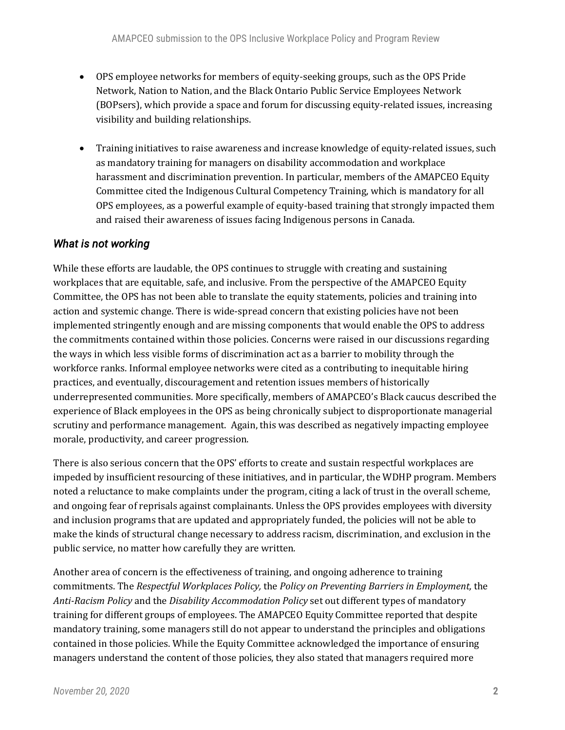- OPS employee networks for members of equity-seeking groups, such as the OPS Pride Network, Nation to Nation, and the Black Ontario Public Service Employees Network (BOPsers), which provide a space and forum for discussing equity-related issues, increasing visibility and building relationships.
- Training initiatives to raise awareness and increase knowledge of equity-related issues, such as mandatory training for managers on disability accommodation and workplace harassment and discrimination prevention. In particular, members of the AMAPCEO Equity Committee cited the Indigenous Cultural Competency Training, which is mandatory for all OPS employees, as a powerful example of equity-based training that strongly impacted them and raised their awareness of issues facing Indigenous persons in Canada.

#### *What is not working*

While these efforts are laudable, the OPS continues to struggle with creating and sustaining workplaces that are equitable, safe, and inclusive. From the perspective of the AMAPCEO Equity Committee, the OPS has not been able to translate the equity statements, policies and training into action and systemic change. There is wide-spread concern that existing policies have not been implemented stringently enough and are missing components that would enable the OPS to address the commitments contained within those policies. Concerns were raised in our discussions regarding the ways in which less visible forms of discrimination act as a barrier to mobility through the workforce ranks. Informal employee networks were cited as a contributing to inequitable hiring practices, and eventually, discouragement and retention issues members of historically underrepresented communities. More specifically, members of AMAPCEO's Black caucus described the experience of Black employees in the OPS as being chronically subject to disproportionate managerial scrutiny and performance management. Again, this was described as negatively impacting employee morale, productivity, and career progression.

There is also serious concern that the OPS' efforts to create and sustain respectful workplaces are impeded by insufficient resourcing of these initiatives, and in particular, the WDHP program. Members noted a reluctance to make complaints under the program, citing a lack of trust in the overall scheme, and ongoing fear of reprisals against complainants. Unless the OPS provides employees with diversity and inclusion programs that are updated and appropriately funded, the policies will not be able to make the kinds of structural change necessary to address racism, discrimination, and exclusion in the public service, no matter how carefully they are written.

Another area of concern is the effectiveness of training, and ongoing adherence to training commitments. The *Respectful Workplaces Policy,* the *Policy on Preventing Barriers in Employment,* the *Anti-Racism Policy* and the *Disability Accommodation Policy* set out different types of mandatory training for different groups of employees. The AMAPCEO Equity Committee reported that despite mandatory training, some managers still do not appear to understand the principles and obligations contained in those policies. While the Equity Committee acknowledged the importance of ensuring managers understand the content of those policies, they also stated that managers required more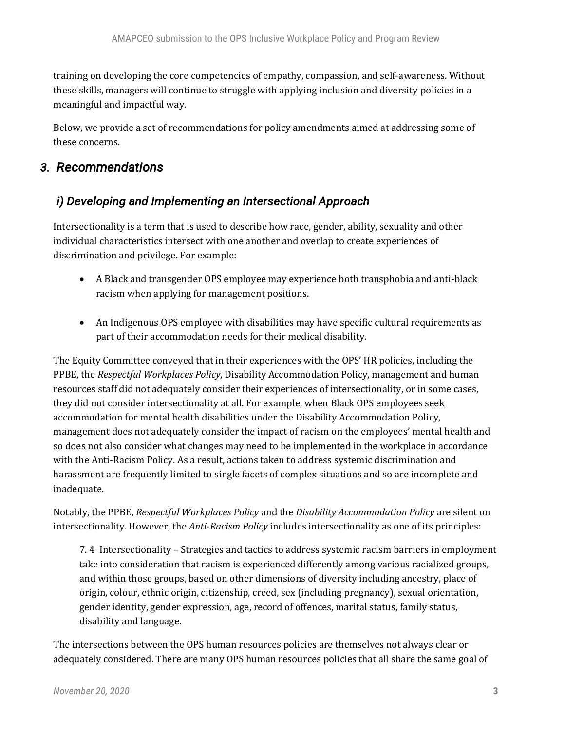training on developing the core competencies of empathy, compassion, and self-awareness. Without these skills, managers will continue to struggle with applying inclusion and diversity policies in a meaningful and impactful way.

Below, we provide a set of recommendations for policy amendments aimed at addressing some of these concerns.

## *3. Recommendations*

## *i) Developing and Implementing an Intersectional Approach*

Intersectionality is a term that is used to describe how race, gender, ability, sexuality and other individual characteristics intersect with one another and overlap to create experiences of discrimination and privilege. For example:

- A Black and transgender OPS employee may experience both transphobia and anti-black racism when applying for management positions.
- An Indigenous OPS employee with disabilities may have specific cultural requirements as part of their accommodation needs for their medical disability.

The Equity Committee conveyed that in their experiences with the OPS' HR policies, including the PPBE, the *Respectful Workplaces Policy*, Disability Accommodation Policy, management and human resources staff did not adequately consider their experiences of intersectionality, or in some cases, they did not consider intersectionality at all. For example, when Black OPS employees seek accommodation for mental health disabilities under the Disability Accommodation Policy, management does not adequately consider the impact of racism on the employees' mental health and so does not also consider what changes may need to be implemented in the workplace in accordance with the Anti-Racism Policy. As a result, actions taken to address systemic discrimination and harassment are frequently limited to single facets of complex situations and so are incomplete and inadequate.

Notably, the PPBE, *Respectful Workplaces Policy* and the *Disability Accommodation Policy* are silent on intersectionality. However, the *Anti-Racism Policy* includes intersectionality as one of its principles:

7. 4 Intersectionality – Strategies and tactics to address systemic racism barriers in employment take into consideration that racism is experienced differently among various racialized groups, and within those groups, based on other dimensions of diversity including ancestry, place of origin, colour, ethnic origin, citizenship, creed, sex (including pregnancy), sexual orientation, gender identity, gender expression, age, record of offences, marital status, family status, disability and language.

The intersections between the OPS human resources policies are themselves not always clear or adequately considered. There are many OPS human resources policies that all share the same goal of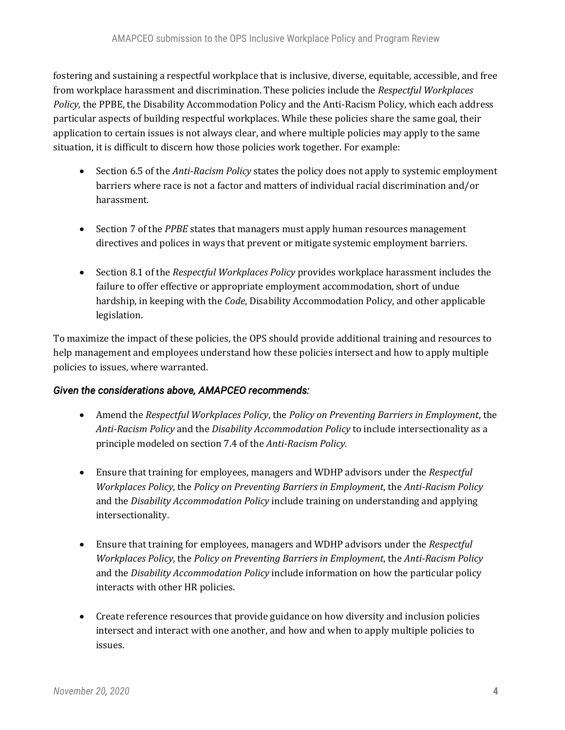fostering and sustaining a respectful workplace that is inclusive, diverse, equitable, accessible, and free from workplace harassment and discrimination. These policies include the *Respectful Workplaces Policy,* the PPBE, the Disability Accommodation Policy and the Anti-Racism Policy, which each address particular aspects of building respectful workplaces. While these policies share the same goal, their application to certain issues is not always clear, and where multiple policies may apply to the same situation, it is difficult to discern how those policies work together. For example:

- Section 6.5 of the *Anti-Racism Policy* states the policy does not apply to systemic employment barriers where race is not a factor and matters of individual racial discrimination and/or harassment.
- Section 7 of the *PPBE* states that managers must apply human resources management directives and polices in ways that prevent or mitigate systemic employment barriers.
- Section 8.1 of the *Respectful Workplaces Policy* provides workplace harassment includes the failure to offer effective or appropriate employment accommodation, short of undue hardship, in keeping with the *Code*, Disability Accommodation Policy, and other applicable legislation.

To maximize the impact of these policies, the OPS should provide additional training and resources to help management and employees understand how these policies intersect and how to apply multiple policies to issues, where warranted.

#### *Given the considerations above, AMAPCEO recommends:*

- Amend the *Respectful Workplaces Policy*, the *Policy on Preventing Barriers in Employment*, the *Anti-Racism Policy* and the *Disability Accommodation Policy* to include intersectionality as a principle modeled on section 7.4 of the *Anti-Racism Policy.*
- Ensure that training for employees, managers and WDHP advisors under the *Respectful Workplaces Policy*, the *Policy on Preventing Barriers in Employment*, the *Anti-Racism Policy*  and the *Disability Accommodation Policy* include training on understanding and applying intersectionality.
- Ensure that training for employees, managers and WDHP advisors under the *Respectful Workplaces Policy*, the *Policy on Preventing Barriers in Employment*, the *Anti-Racism Policy*  and the *Disability Accommodation Policy* include information on how the particular policy interacts with other HR policies.
- Create reference resources that provide guidance on how diversity and inclusion policies intersect and interact with one another, and how and when to apply multiple policies to issues.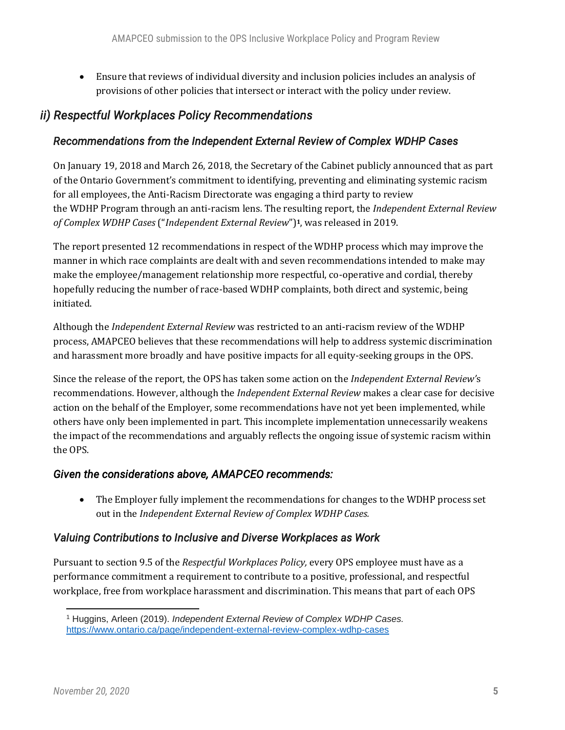• Ensure that reviews of individual diversity and inclusion policies includes an analysis of provisions of other policies that intersect or interact with the policy under review.

## *ii) Respectful Workplaces Policy Recommendations*

#### *Recommendations from the Independent External Review of Complex WDHP Cases*

On January 19, 2018 and March 26, 2018, the Secretary of the Cabinet publicly announced that as part of the Ontario Government's commitment to identifying, preventing and eliminating systemic racism for all employees, the Anti-Racism Directorate was engaging a third party to review the WDHP Program through an anti-racism lens. The resulting report, the *Independent External Review of Complex WDHP Cases* ("*Independent External Review*")**1**, was released in 2019.

The report presented 12 recommendations in respect of the WDHP process which may improve the manner in which race complaints are dealt with and seven recommendations intended to make may make the employee/management relationship more respectful, co-operative and cordial, thereby hopefully reducing the number of race-based WDHP complaints, both direct and systemic, being initiated.

Although the *Independent External Review* was restricted to an anti-racism review of the WDHP process, AMAPCEO believes that these recommendations will help to address systemic discrimination and harassment more broadly and have positive impacts for all equity-seeking groups in the OPS.

Since the release of the report, the OPS has taken some action on the *Independent External Review'*s recommendations. However, although the *Independent External Review* makes a clear case for decisive action on the behalf of the Employer, some recommendations have not yet been implemented, while others have only been implemented in part. This incomplete implementation unnecessarily weakens the impact of the recommendations and arguably reflects the ongoing issue of systemic racism within the OPS.

#### *Given the considerations above, AMAPCEO recommends:*

• The Employer fully implement the recommendations for changes to the WDHP process set out in the *Independent External Review of Complex WDHP Cases.*

#### *Valuing Contributions to Inclusive and Diverse Workplaces as Work*

Pursuant to section 9.5 of the *Respectful Workplaces Policy,* every OPS employee must have as a performance commitment a requirement to contribute to a positive, professional, and respectful workplace, free from workplace harassment and discrimination. This means that part of each OPS

<sup>1</sup> Huggins, Arleen (2019). *Independent External Review of Complex WDHP Cases.*  <https://www.ontario.ca/page/independent-external-review-complex-wdhp-cases>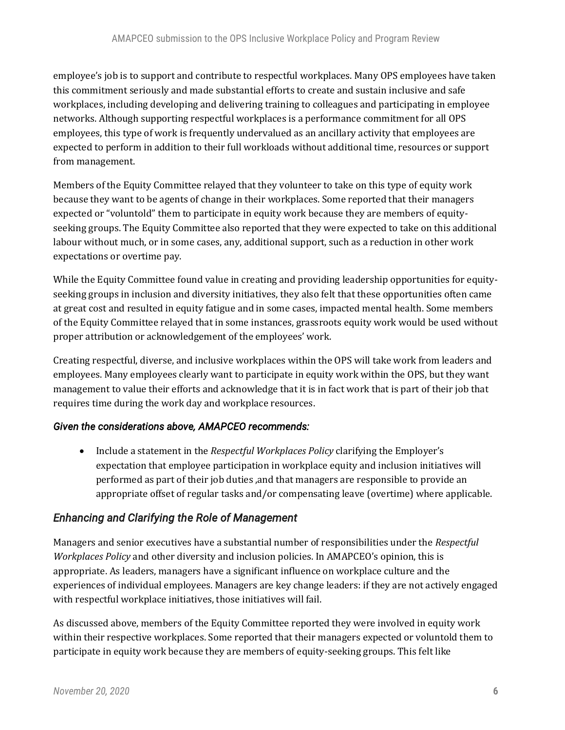employee's job is to support and contribute to respectful workplaces. Many OPS employees have taken this commitment seriously and made substantial efforts to create and sustain inclusive and safe workplaces, including developing and delivering training to colleagues and participating in employee networks. Although supporting respectful workplaces is a performance commitment for all OPS employees, this type of work is frequently undervalued as an ancillary activity that employees are expected to perform in addition to their full workloads without additional time, resources or support from management.

Members of the Equity Committee relayed that they volunteer to take on this type of equity work because they want to be agents of change in their workplaces. Some reported that their managers expected or "voluntold" them to participate in equity work because they are members of equityseeking groups. The Equity Committee also reported that they were expected to take on this additional labour without much, or in some cases, any, additional support, such as a reduction in other work expectations or overtime pay.

While the Equity Committee found value in creating and providing leadership opportunities for equityseeking groups in inclusion and diversity initiatives, they also felt that these opportunities often came at great cost and resulted in equity fatigue and in some cases, impacted mental health. Some members of the Equity Committee relayed that in some instances, grassroots equity work would be used without proper attribution or acknowledgement of the employees' work.

Creating respectful, diverse, and inclusive workplaces within the OPS will take work from leaders and employees. Many employees clearly want to participate in equity work within the OPS, but they want management to value their efforts and acknowledge that it is in fact work that is part of their job that requires time during the work day and workplace resources.

#### *Given the considerations above, AMAPCEO recommends:*

• Include a statement in the *Respectful Workplaces Policy* clarifying the Employer's expectation that employee participation in workplace equity and inclusion initiatives will performed as part of their job duties ,and that managers are responsible to provide an appropriate offset of regular tasks and/or compensating leave (overtime) where applicable.

#### *Enhancing and Clarifying the Role of Management*

Managers and senior executives have a substantial number of responsibilities under the *Respectful Workplaces Policy* and other diversity and inclusion policies. In AMAPCEO's opinion, this is appropriate. As leaders, managers have a significant influence on workplace culture and the experiences of individual employees. Managers are key change leaders: if they are not actively engaged with respectful workplace initiatives, those initiatives will fail.

As discussed above, members of the Equity Committee reported they were involved in equity work within their respective workplaces. Some reported that their managers expected or voluntold them to participate in equity work because they are members of equity-seeking groups. This felt like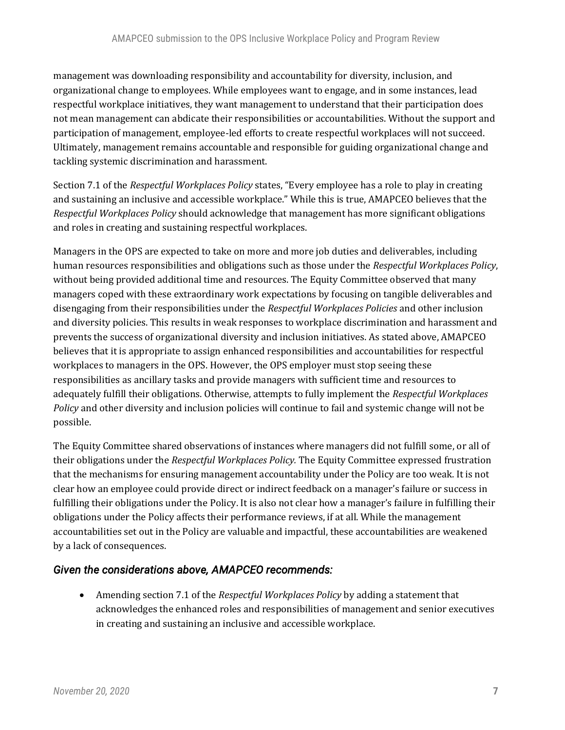management was downloading responsibility and accountability for diversity, inclusion, and organizational change to employees. While employees want to engage, and in some instances, lead respectful workplace initiatives, they want management to understand that their participation does not mean management can abdicate their responsibilities or accountabilities. Without the support and participation of management, employee-led efforts to create respectful workplaces will not succeed. Ultimately, management remains accountable and responsible for guiding organizational change and tackling systemic discrimination and harassment.

Section 7.1 of the *Respectful Workplaces Policy* states, "Every employee has a role to play in creating and sustaining an inclusive and accessible workplace." While this is true, AMAPCEO believes that the *Respectful Workplaces Policy* should acknowledge that management has more significant obligations and roles in creating and sustaining respectful workplaces.

Managers in the OPS are expected to take on more and more job duties and deliverables, including human resources responsibilities and obligations such as those under the *Respectful Workplaces Policy*, without being provided additional time and resources. The Equity Committee observed that many managers coped with these extraordinary work expectations by focusing on tangible deliverables and disengaging from their responsibilities under the *Respectful Workplaces Policies* and other inclusion and diversity policies. This results in weak responses to workplace discrimination and harassment and prevents the success of organizational diversity and inclusion initiatives. As stated above, AMAPCEO believes that it is appropriate to assign enhanced responsibilities and accountabilities for respectful workplaces to managers in the OPS. However, the OPS employer must stop seeing these responsibilities as ancillary tasks and provide managers with sufficient time and resources to adequately fulfill their obligations. Otherwise, attempts to fully implement the *Respectful Workplaces Policy* and other diversity and inclusion policies will continue to fail and systemic change will not be possible.

The Equity Committee shared observations of instances where managers did not fulfill some, or all of their obligations under the *Respectful Workplaces Policy.* The Equity Committee expressed frustration that the mechanisms for ensuring management accountability under the Policy are too weak. It is not clear how an employee could provide direct or indirect feedback on a manager's failure or success in fulfilling their obligations under the Policy. It is also not clear how a manager's failure in fulfilling their obligations under the Policy affects their performance reviews, if at all. While the management accountabilities set out in the Policy are valuable and impactful, these accountabilities are weakened by a lack of consequences.

#### *Given the considerations above, AMAPCEO recommends:*

• Amending section 7.1 of the *Respectful Workplaces Policy* by adding a statement that acknowledges the enhanced roles and responsibilities of management and senior executives in creating and sustaining an inclusive and accessible workplace.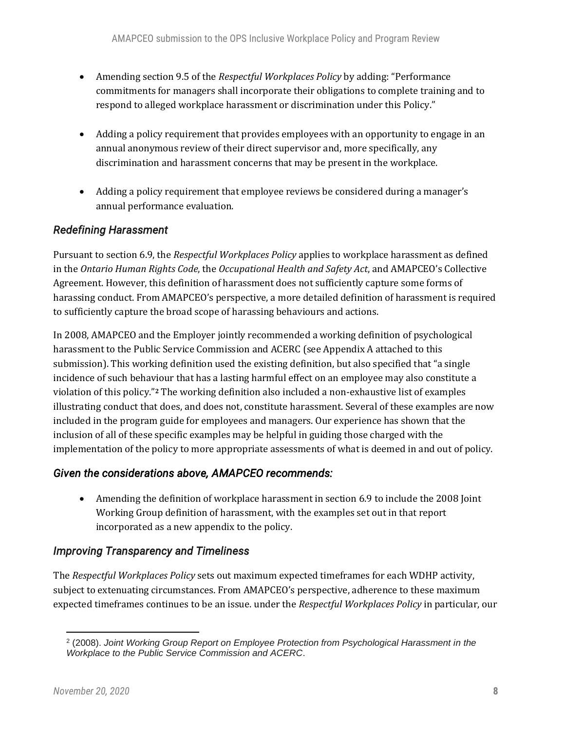- Amending section 9.5 of the *Respectful Workplaces Policy* by adding: "Performance commitments for managers shall incorporate their obligations to complete training and to respond to alleged workplace harassment or discrimination under this Policy."
- Adding a policy requirement that provides employees with an opportunity to engage in an annual anonymous review of their direct supervisor and, more specifically, any discrimination and harassment concerns that may be present in the workplace.
- Adding a policy requirement that employee reviews be considered during a manager's annual performance evaluation.

## *Redefining Harassment*

Pursuant to section 6.9, the *Respectful Workplaces Policy* applies to workplace harassment as defined in the *Ontario Human Rights Code*, the *Occupational Health and Safety Act*, and AMAPCEO's Collective Agreement. However, this definition of harassment does not sufficiently capture some forms of harassing conduct. From AMAPCEO's perspective, a more detailed definition of harassment is required to sufficiently capture the broad scope of harassing behaviours and actions.

In 2008, AMAPCEO and the Employer jointly recommended a working definition of psychological harassment to the Public Service Commission and ACERC (see Appendix A attached to this submission). This working definition used the existing definition, but also specified that "a single incidence of such behaviour that has a lasting harmful effect on an employee may also constitute a violation of this policy."**<sup>2</sup>** The working definition also included a non-exhaustive list of examples illustrating conduct that does, and does not, constitute harassment. Several of these examples are now included in the program guide for employees and managers. Our experience has shown that the inclusion of all of these specific examples may be helpful in guiding those charged with the implementation of the policy to more appropriate assessments of what is deemed in and out of policy.

#### *Given the considerations above, AMAPCEO recommends:*

• Amending the definition of workplace harassment in section 6.9 to include the 2008 Joint Working Group definition of harassment, with the examples set out in that report incorporated as a new appendix to the policy.

## *Improving Transparency and Timeliness*

The *Respectful Workplaces Policy* sets out maximum expected timeframes for each WDHP activity, subject to extenuating circumstances. From AMAPCEO's perspective, adherence to these maximum expected timeframes continues to be an issue. under the *Respectful Workplaces Policy* in particular, our

<sup>2</sup> (2008). *Joint Working Group Report on Employee Protection from Psychological Harassment in the Workplace to the Public Service Commission and ACERC*.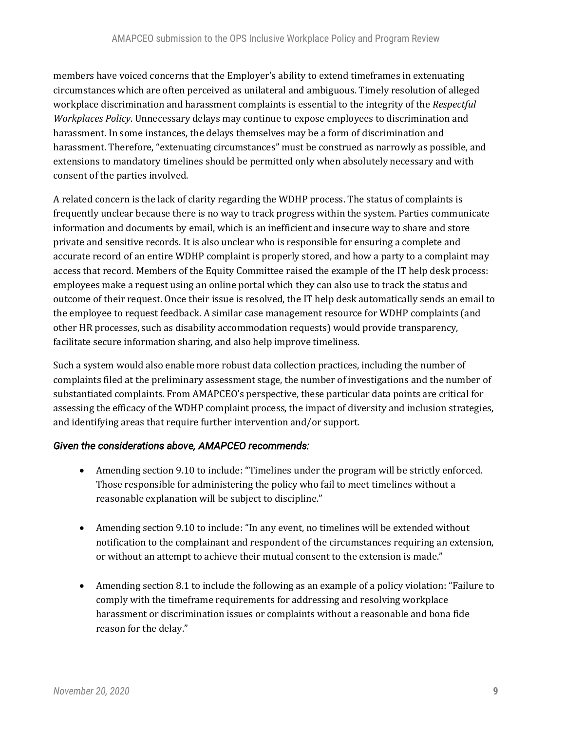members have voiced concerns that the Employer's ability to extend timeframes in extenuating circumstances which are often perceived as unilateral and ambiguous. Timely resolution of alleged workplace discrimination and harassment complaints is essential to the integrity of the *Respectful Workplaces Policy*. Unnecessary delays may continue to expose employees to discrimination and harassment. In some instances, the delays themselves may be a form of discrimination and harassment. Therefore, "extenuating circumstances" must be construed as narrowly as possible, and extensions to mandatory timelines should be permitted only when absolutely necessary and with consent of the parties involved.

A related concern is the lack of clarity regarding the WDHP process. The status of complaints is frequently unclear because there is no way to track progress within the system. Parties communicate information and documents by email, which is an inefficient and insecure way to share and store private and sensitive records. It is also unclear who is responsible for ensuring a complete and accurate record of an entire WDHP complaint is properly stored, and how a party to a complaint may access that record. Members of the Equity Committee raised the example of the IT help desk process: employees make a request using an online portal which they can also use to track the status and outcome of their request. Once their issue is resolved, the IT help desk automatically sends an email to the employee to request feedback. A similar case management resource for WDHP complaints (and other HR processes, such as disability accommodation requests) would provide transparency, facilitate secure information sharing, and also help improve timeliness.

Such a system would also enable more robust data collection practices, including the number of complaints filed at the preliminary assessment stage, the number of investigations and the number of substantiated complaints. From AMAPCEO's perspective, these particular data points are critical for assessing the efficacy of the WDHP complaint process, the impact of diversity and inclusion strategies, and identifying areas that require further intervention and/or support.

#### *Given the considerations above, AMAPCEO recommends:*

- Amending section 9.10 to include: "Timelines under the program will be strictly enforced. Those responsible for administering the policy who fail to meet timelines without a reasonable explanation will be subject to discipline."
- Amending section 9.10 to include: "In any event, no timelines will be extended without notification to the complainant and respondent of the circumstances requiring an extension, or without an attempt to achieve their mutual consent to the extension is made."
- Amending section 8.1 to include the following as an example of a policy violation: "Failure to comply with the timeframe requirements for addressing and resolving workplace harassment or discrimination issues or complaints without a reasonable and bona fide reason for the delay."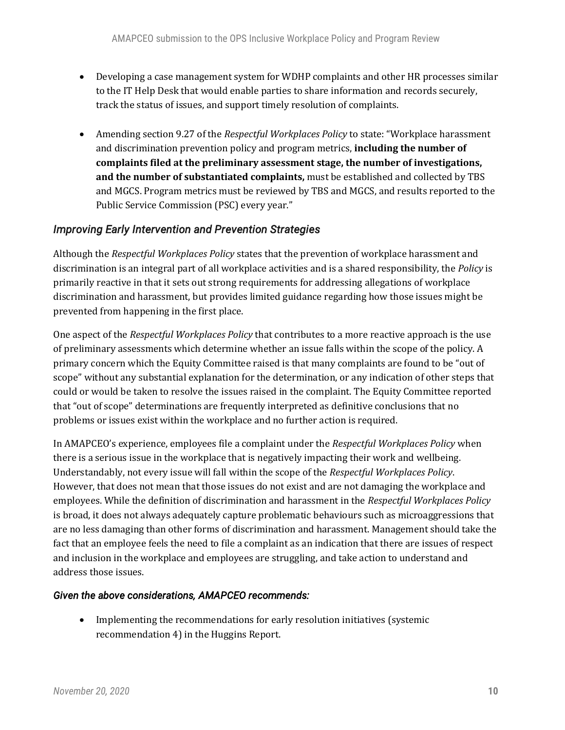- Developing a case management system for WDHP complaints and other HR processes similar to the IT Help Desk that would enable parties to share information and records securely, track the status of issues, and support timely resolution of complaints.
- Amending section 9.27 of the *Respectful Workplaces Policy* to state: "Workplace harassment and discrimination prevention policy and program metrics, **including the number of complaints filed at the preliminary assessment stage, the number of investigations, and the number of substantiated complaints,** must be established and collected by TBS and MGCS. Program metrics must be reviewed by TBS and MGCS, and results reported to the Public Service Commission (PSC) every year."

## *Improving Early Intervention and Prevention Strategies*

Although the *Respectful Workplaces Policy* states that the prevention of workplace harassment and discrimination is an integral part of all workplace activities and is a shared responsibility, the *Policy* is primarily reactive in that it sets out strong requirements for addressing allegations of workplace discrimination and harassment, but provides limited guidance regarding how those issues might be prevented from happening in the first place.

One aspect of the *Respectful Workplaces Policy* that contributes to a more reactive approach is the use of preliminary assessments which determine whether an issue falls within the scope of the policy. A primary concern which the Equity Committee raised is that many complaints are found to be "out of scope" without any substantial explanation for the determination, or any indication of other steps that could or would be taken to resolve the issues raised in the complaint. The Equity Committee reported that "out of scope" determinations are frequently interpreted as definitive conclusions that no problems or issues exist within the workplace and no further action is required.

In AMAPCEO's experience, employees file a complaint under the *Respectful Workplaces Policy* when there is a serious issue in the workplace that is negatively impacting their work and wellbeing. Understandably, not every issue will fall within the scope of the *Respectful Workplaces Policy*. However, that does not mean that those issues do not exist and are not damaging the workplace and employees. While the definition of discrimination and harassment in the *Respectful Workplaces Policy*  is broad, it does not always adequately capture problematic behaviours such as microaggressions that are no less damaging than other forms of discrimination and harassment. Management should take the fact that an employee feels the need to file a complaint as an indication that there are issues of respect and inclusion in the workplace and employees are struggling, and take action to understand and address those issues.

#### *Given the above considerations, AMAPCEO recommends:*

• Implementing the recommendations for early resolution initiatives (systemic recommendation 4) in the Huggins Report.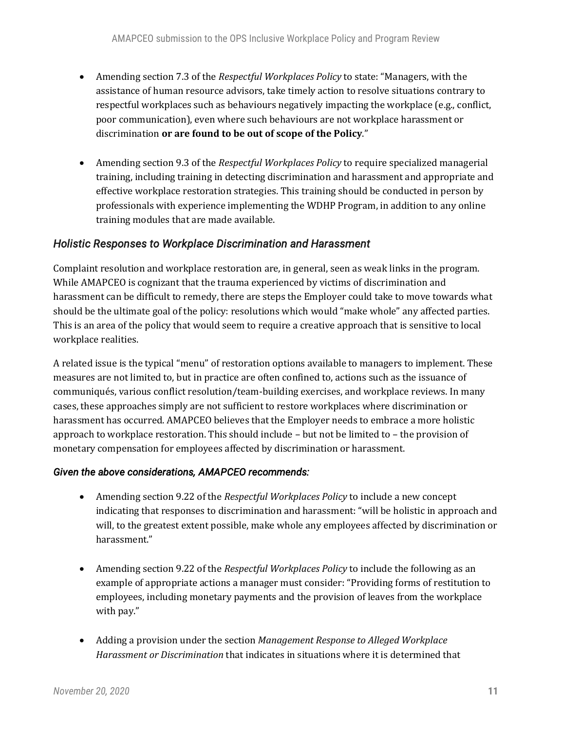- Amending section 7.3 of the *Respectful Workplaces Policy* to state: "Managers, with the assistance of human resource advisors, take timely action to resolve situations contrary to respectful workplaces such as behaviours negatively impacting the workplace (e.g., conflict, poor communication), even where such behaviours are not workplace harassment or discrimination **or are found to be out of scope of the Policy**."
- Amending section 9.3 of the *Respectful Workplaces Policy* to require specialized managerial training, including training in detecting discrimination and harassment and appropriate and effective workplace restoration strategies. This training should be conducted in person by professionals with experience implementing the WDHP Program, in addition to any online training modules that are made available.

#### *Holistic Responses to Workplace Discrimination and Harassment*

Complaint resolution and workplace restoration are, in general, seen as weak links in the program. While AMAPCEO is cognizant that the trauma experienced by victims of discrimination and harassment can be difficult to remedy, there are steps the Employer could take to move towards what should be the ultimate goal of the policy: resolutions which would "make whole" any affected parties. This is an area of the policy that would seem to require a creative approach that is sensitive to local workplace realities.

A related issue is the typical "menu" of restoration options available to managers to implement. These measures are not limited to, but in practice are often confined to, actions such as the issuance of communiqués, various conflict resolution/team-building exercises, and workplace reviews. In many cases, these approaches simply are not sufficient to restore workplaces where discrimination or harassment has occurred. AMAPCEO believes that the Employer needs to embrace a more holistic approach to workplace restoration. This should include – but not be limited to – the provision of monetary compensation for employees affected by discrimination or harassment.

#### *Given the above considerations, AMAPCEO recommends:*

- Amending section 9.22 of the *Respectful Workplaces Policy* to include a new concept indicating that responses to discrimination and harassment: "will be holistic in approach and will, to the greatest extent possible, make whole any employees affected by discrimination or harassment."
- Amending section 9.22 of the *Respectful Workplaces Policy* to include the following as an example of appropriate actions a manager must consider: "Providing forms of restitution to employees, including monetary payments and the provision of leaves from the workplace with pay."
- Adding a provision under the section *Management Response to Alleged Workplace Harassment or Discrimination* that indicates in situations where it is determined that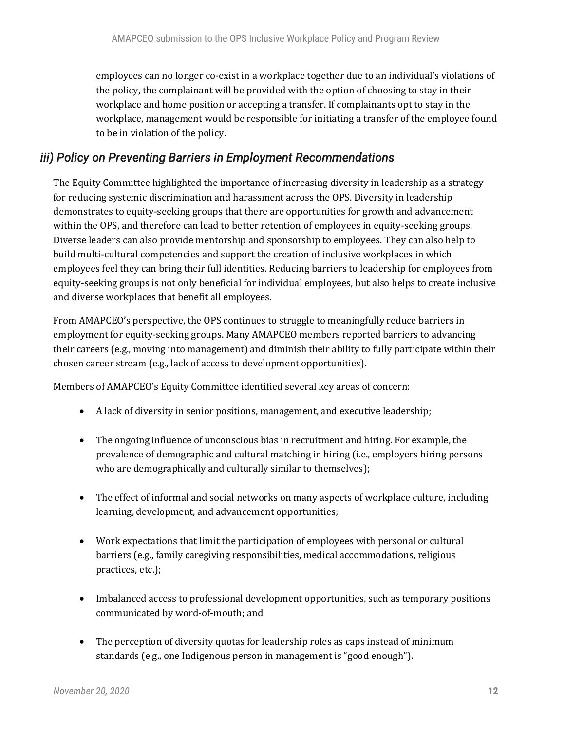employees can no longer co-exist in a workplace together due to an individual's violations of the policy, the complainant will be provided with the option of choosing to stay in their workplace and home position or accepting a transfer. If complainants opt to stay in the workplace, management would be responsible for initiating a transfer of the employee found to be in violation of the policy.

## *iii) Policy on Preventing Barriers in Employment Recommendations*

The Equity Committee highlighted the importance of increasing diversity in leadership as a strategy for reducing systemic discrimination and harassment across the OPS. Diversity in leadership demonstrates to equity-seeking groups that there are opportunities for growth and advancement within the OPS, and therefore can lead to better retention of employees in equity-seeking groups. Diverse leaders can also provide mentorship and sponsorship to employees. They can also help to build multi-cultural competencies and support the creation of inclusive workplaces in which employees feel they can bring their full identities. Reducing barriers to leadership for employees from equity-seeking groups is not only beneficial for individual employees, but also helps to create inclusive and diverse workplaces that benefit all employees.

From AMAPCEO's perspective, the OPS continues to struggle to meaningfully reduce barriers in employment for equity-seeking groups. Many AMAPCEO members reported barriers to advancing their careers (e.g., moving into management) and diminish their ability to fully participate within their chosen career stream (e.g., lack of access to development opportunities).

Members of AMAPCEO's Equity Committee identified several key areas of concern:

- A lack of diversity in senior positions, management, and executive leadership;
- The ongoing influence of unconscious bias in recruitment and hiring. For example, the prevalence of demographic and cultural matching in hiring (i.e., employers hiring persons who are demographically and culturally similar to themselves);
- The effect of informal and social networks on many aspects of workplace culture, including learning, development, and advancement opportunities;
- Work expectations that limit the participation of employees with personal or cultural barriers (e.g., family caregiving responsibilities, medical accommodations, religious practices, etc.);
- Imbalanced access to professional development opportunities, such as temporary positions communicated by word-of-mouth; and
- The perception of diversity quotas for leadership roles as caps instead of minimum standards (e.g., one Indigenous person in management is "good enough").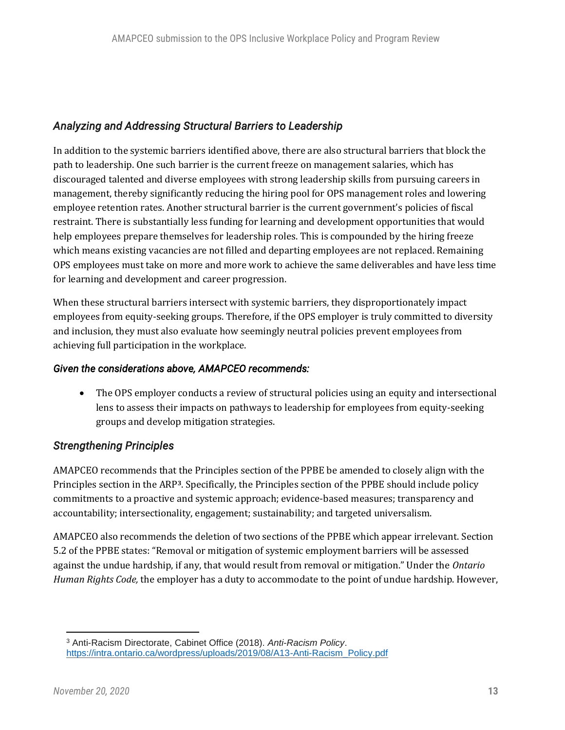## *Analyzing and Addressing Structural Barriers to Leadership*

In addition to the systemic barriers identified above, there are also structural barriers that block the path to leadership. One such barrier is the current freeze on management salaries, which has discouraged talented and diverse employees with strong leadership skills from pursuing careers in management, thereby significantly reducing the hiring pool for OPS management roles and lowering employee retention rates. Another structural barrier is the current government's policies of fiscal restraint. There is substantially less funding for learning and development opportunities that would help employees prepare themselves for leadership roles. This is compounded by the hiring freeze which means existing vacancies are not filled and departing employees are not replaced. Remaining OPS employees must take on more and more work to achieve the same deliverables and have less time for learning and development and career progression.

When these structural barriers intersect with systemic barriers, they disproportionately impact employees from equity-seeking groups. Therefore, if the OPS employer is truly committed to diversity and inclusion, they must also evaluate how seemingly neutral policies prevent employees from achieving full participation in the workplace.

#### *Given the considerations above, AMAPCEO recommends:*

• The OPS employer conducts a review of structural policies using an equity and intersectional lens to assess their impacts on pathways to leadership for employees from equity-seeking groups and develop mitigation strategies.

#### *Strengthening Principles*

AMAPCEO recommends that the Principles section of the PPBE be amended to closely align with the Principles section in the ARP**3**. Specifically, the Principles section of the PPBE should include policy commitments to a proactive and systemic approach; evidence-based measures; transparency and accountability; intersectionality, engagement; sustainability; and targeted universalism.

AMAPCEO also recommends the deletion of two sections of the PPBE which appear irrelevant. Section 5.2 of the PPBE states: "Removal or mitigation of systemic employment barriers will be assessed against the undue hardship, if any, that would result from removal or mitigation." Under the *Ontario Human Rights Code,* the employer has a duty to accommodate to the point of undue hardship. However,

<sup>3</sup> Anti-Racism Directorate, Cabinet Office (2018). *Anti-Racism Policy*. [https://intra.ontario.ca/wordpress/uploads/2019/08/A13-Anti-Racism\\_Policy.pdf](https://intra.ontario.ca/wordpress/uploads/2019/08/A13-Anti-Racism_Policy.pdf)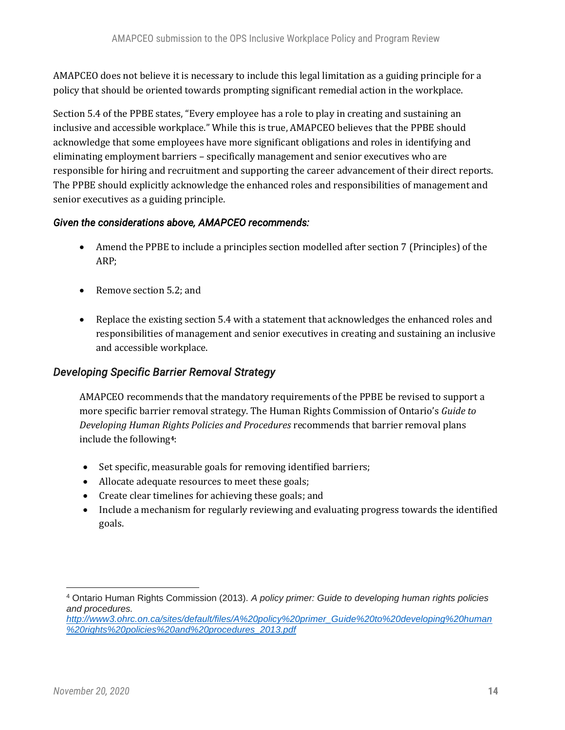AMAPCEO does not believe it is necessary to include this legal limitation as a guiding principle for a policy that should be oriented towards prompting significant remedial action in the workplace.

Section 5.4 of the PPBE states, "Every employee has a role to play in creating and sustaining an inclusive and accessible workplace." While this is true, AMAPCEO believes that the PPBE should acknowledge that some employees have more significant obligations and roles in identifying and eliminating employment barriers – specifically management and senior executives who are responsible for hiring and recruitment and supporting the career advancement of their direct reports. The PPBE should explicitly acknowledge the enhanced roles and responsibilities of management and senior executives as a guiding principle.

#### *Given the considerations above, AMAPCEO recommends:*

- Amend the PPBE to include a principles section modelled after section 7 (Principles) of the ARP;
- Remove section 5.2; and
- Replace the existing section 5.4 with a statement that acknowledges the enhanced roles and responsibilities of management and senior executives in creating and sustaining an inclusive and accessible workplace.

## *Developing Specific Barrier Removal Strategy*

AMAPCEO recommends that the mandatory requirements of the PPBE be revised to support a more specific barrier removal strategy. The Human Rights Commission of Ontario's *Guide to Developing Human Rights Policies and Procedures* recommends that barrier removal plans include the following**4**:

- Set specific, measurable goals for removing identified barriers;
- Allocate adequate resources to meet these goals;
- Create clear timelines for achieving these goals; and
- Include a mechanism for regularly reviewing and evaluating progress towards the identified goals.

<sup>4</sup> Ontario Human Rights Commission (2013). *A policy primer: Guide to developing human rights policies and procedures.* 

*[http://www3.ohrc.on.ca/sites/default/files/A%20policy%20primer\\_Guide%20to%20developing%20human](http://www3.ohrc.on.ca/sites/default/files/A%20policy%20primer_Guide%20to%20developing%20human%20rights%20policies%20and%20procedures_2013.pdf) [%20rights%20policies%20and%20procedures\\_2013.pdf](http://www3.ohrc.on.ca/sites/default/files/A%20policy%20primer_Guide%20to%20developing%20human%20rights%20policies%20and%20procedures_2013.pdf)*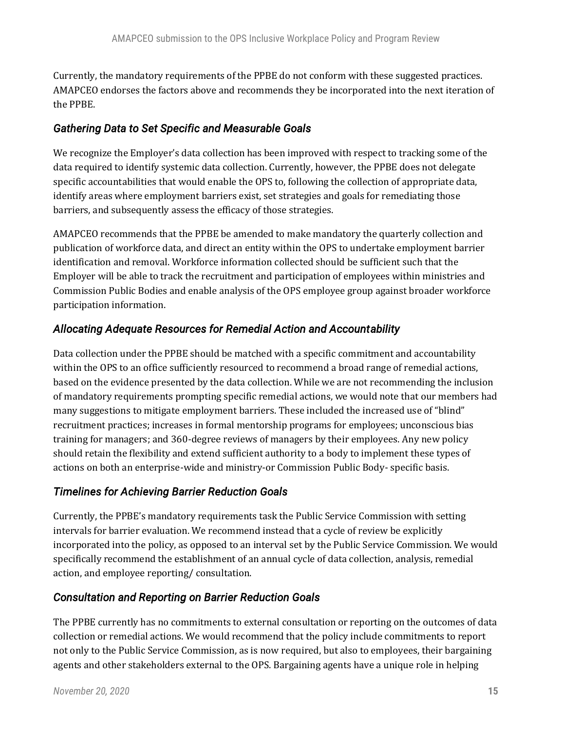Currently, the mandatory requirements of the PPBE do not conform with these suggested practices. AMAPCEO endorses the factors above and recommends they be incorporated into the next iteration of the PPBE.

## *Gathering Data to Set Specific and Measurable Goals*

We recognize the Employer's data collection has been improved with respect to tracking some of the data required to identify systemic data collection. Currently, however, the PPBE does not delegate specific accountabilities that would enable the OPS to, following the collection of appropriate data, identify areas where employment barriers exist, set strategies and goals for remediating those barriers, and subsequently assess the efficacy of those strategies.

AMAPCEO recommends that the PPBE be amended to make mandatory the quarterly collection and publication of workforce data, and direct an entity within the OPS to undertake employment barrier identification and removal. Workforce information collected should be sufficient such that the Employer will be able to track the recruitment and participation of employees within ministries and Commission Public Bodies and enable analysis of the OPS employee group against broader workforce participation information.

## *Allocating Adequate Resources for Remedial Action and Accountability*

Data collection under the PPBE should be matched with a specific commitment and accountability within the OPS to an office sufficiently resourced to recommend a broad range of remedial actions, based on the evidence presented by the data collection. While we are not recommending the inclusion of mandatory requirements prompting specific remedial actions, we would note that our members had many suggestions to mitigate employment barriers. These included the increased use of "blind" recruitment practices; increases in formal mentorship programs for employees; unconscious bias training for managers; and 360-degree reviews of managers by their employees. Any new policy should retain the flexibility and extend sufficient authority to a body to implement these types of actions on both an enterprise-wide and ministry-or Commission Public Body- specific basis.

#### *Timelines for Achieving Barrier Reduction Goals*

Currently, the PPBE's mandatory requirements task the Public Service Commission with setting intervals for barrier evaluation. We recommend instead that a cycle of review be explicitly incorporated into the policy, as opposed to an interval set by the Public Service Commission. We would specifically recommend the establishment of an annual cycle of data collection, analysis, remedial action, and employee reporting/ consultation.

## *Consultation and Reporting on Barrier Reduction Goals*

The PPBE currently has no commitments to external consultation or reporting on the outcomes of data collection or remedial actions. We would recommend that the policy include commitments to report not only to the Public Service Commission, as is now required, but also to employees, their bargaining agents and other stakeholders external to the OPS. Bargaining agents have a unique role in helping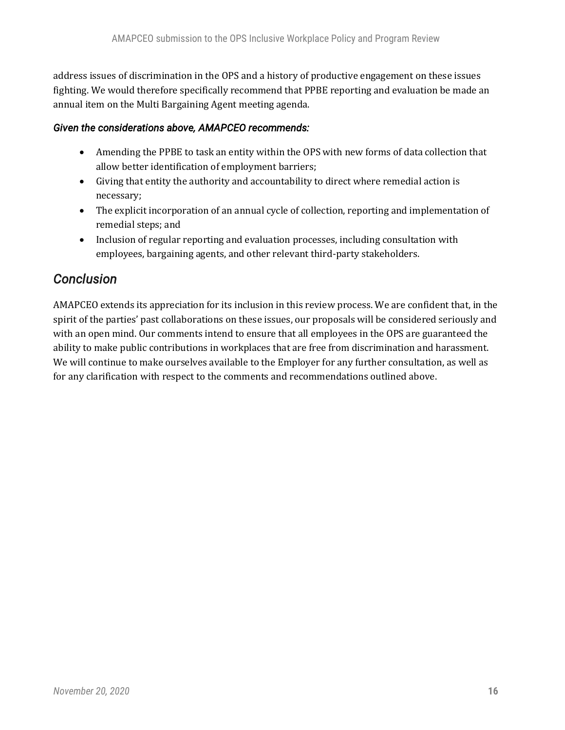address issues of discrimination in the OPS and a history of productive engagement on these issues fighting. We would therefore specifically recommend that PPBE reporting and evaluation be made an annual item on the Multi Bargaining Agent meeting agenda.

#### *Given the considerations above, AMAPCEO recommends:*

- Amending the PPBE to task an entity within the OPS with new forms of data collection that allow better identification of employment barriers;
- Giving that entity the authority and accountability to direct where remedial action is necessary;
- The explicit incorporation of an annual cycle of collection, reporting and implementation of remedial steps; and
- Inclusion of regular reporting and evaluation processes, including consultation with employees, bargaining agents, and other relevant third-party stakeholders.

## *Conclusion*

AMAPCEO extends its appreciation for its inclusion in this review process. We are confident that, in the spirit of the parties' past collaborations on these issues, our proposals will be considered seriously and with an open mind. Our comments intend to ensure that all employees in the OPS are guaranteed the ability to make public contributions in workplaces that are free from discrimination and harassment. We will continue to make ourselves available to the Employer for any further consultation, as well as for any clarification with respect to the comments and recommendations outlined above.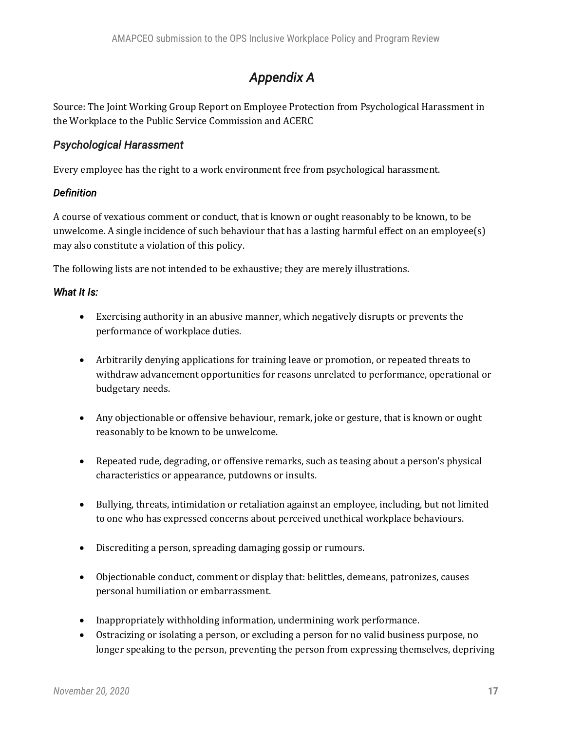## *Appendix A*

Source: The Joint Working Group Report on Employee Protection from Psychological Harassment in the Workplace to the Public Service Commission and ACERC

#### *Psychological Harassment*

Every employee has the right to a work environment free from psychological harassment.

#### *Definition*

A course of vexatious comment or conduct, that is known or ought reasonably to be known, to be unwelcome. A single incidence of such behaviour that has a lasting harmful effect on an employee(s) may also constitute a violation of this policy.

The following lists are not intended to be exhaustive; they are merely illustrations.

#### *What It Is:*

- Exercising authority in an abusive manner, which negatively disrupts or prevents the performance of workplace duties.
- Arbitrarily denying applications for training leave or promotion, or repeated threats to withdraw advancement opportunities for reasons unrelated to performance, operational or budgetary needs.
- Any objectionable or offensive behaviour, remark, joke or gesture, that is known or ought reasonably to be known to be unwelcome.
- Repeated rude, degrading, or offensive remarks, such as teasing about a person's physical characteristics or appearance, putdowns or insults.
- Bullying, threats, intimidation or retaliation against an employee, including, but not limited to one who has expressed concerns about perceived unethical workplace behaviours.
- Discrediting a person, spreading damaging gossip or rumours.
- Objectionable conduct, comment or display that: belittles, demeans, patronizes, causes personal humiliation or embarrassment.
- Inappropriately withholding information, undermining work performance.
- Ostracizing or isolating a person, or excluding a person for no valid business purpose, no longer speaking to the person, preventing the person from expressing themselves, depriving